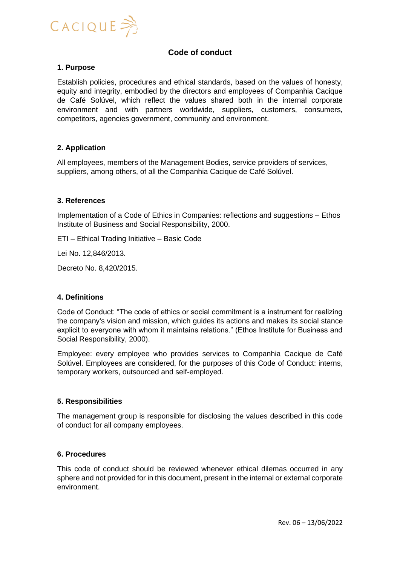

# **Code of conduct**

## **1. Purpose**

Establish policies, procedures and ethical standards, based on the values of honesty, equity and integrity, embodied by the directors and employees of Companhia Cacique de Café Solúvel, which reflect the values shared both in the internal corporate environment and with partners worldwide, suppliers, customers, consumers, competitors, agencies government, community and environment.

## **2. Application**

All employees, members of the Management Bodies, service providers of services, suppliers, among others, of all the Companhia Cacique de Café Solúvel.

## **3. References**

Implementation of a Code of Ethics in Companies: reflections and suggestions – Ethos Institute of Business and Social Responsibility, 2000.

ETI – Ethical Trading Initiative – Basic Code

Lei No. 12,846/2013.

Decreto No. 8,420/2015.

#### **4. Definitions**

Code of Conduct: "The code of ethics or social commitment is a instrument for realizing the company's vision and mission, which guides its actions and makes its social stance explicit to everyone with whom it maintains relations." (Ethos Institute for Business and Social Responsibility, 2000).

Employee: every employee who provides services to Companhia Cacique de Café Solúvel. Employees are considered, for the purposes of this Code of Conduct: interns, temporary workers, outsourced and self-employed.

#### **5. Responsibilities**

The management group is responsible for disclosing the values described in this code of conduct for all company employees.

#### **6. Procedures**

This code of conduct should be reviewed whenever ethical dilemas occurred in any sphere and not provided for in this document, present in the internal or external corporate environment.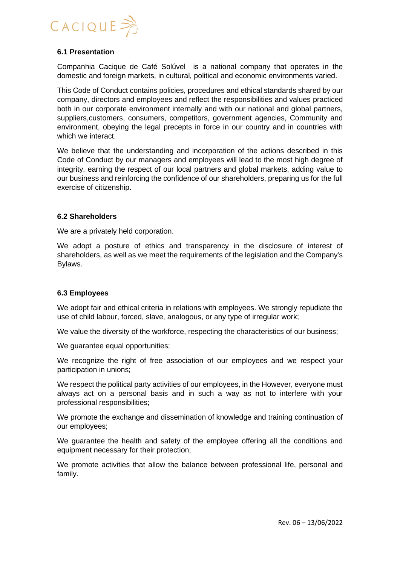

## **6.1 Presentation**

Companhia Cacique de Café Solúvel is a national company that operates in the domestic and foreign markets, in cultural, political and economic environments varied.

This Code of Conduct contains policies, procedures and ethical standards shared by our company, directors and employees and reflect the responsibilities and values practiced both in our corporate environment internally and with our national and global partners, suppliers,customers, consumers, competitors, government agencies, Community and environment, obeying the legal precepts in force in our country and in countries with which we interact.

We believe that the understanding and incorporation of the actions described in this Code of Conduct by our managers and employees will lead to the most high degree of integrity, earning the respect of our local partners and global markets, adding value to our business and reinforcing the confidence of our shareholders, preparing us for the full exercise of citizenship.

## **6.2 Shareholders**

We are a privately held corporation.

We adopt a posture of ethics and transparency in the disclosure of interest of shareholders, as well as we meet the requirements of the legislation and the Company's Bylaws.

# **6.3 Employees**

We adopt fair and ethical criteria in relations with employees. We strongly repudiate the use of child labour, forced, slave, analogous, or any type of irregular work;

We value the diversity of the workforce, respecting the characteristics of our business;

We guarantee equal opportunities;

We recognize the right of free association of our employees and we respect your participation in unions;

We respect the political party activities of our employees, in the However, everyone must always act on a personal basis and in such a way as not to interfere with your professional responsibilities;

We promote the exchange and dissemination of knowledge and training continuation of our employees;

We guarantee the health and safety of the employee offering all the conditions and equipment necessary for their protection;

We promote activities that allow the balance between professional life, personal and family.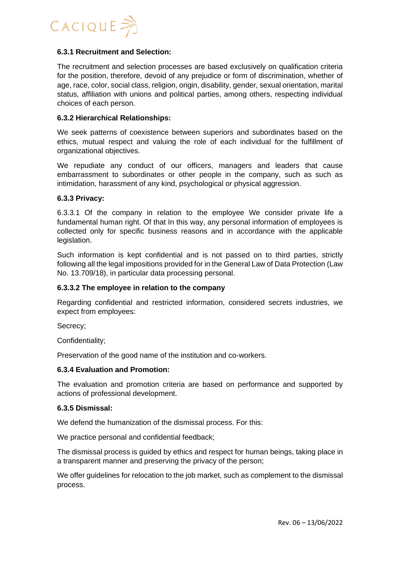

## **6.3.1 Recruitment and Selection:**

The recruitment and selection processes are based exclusively on qualification criteria for the position, therefore, devoid of any prejudice or form of discrimination, whether of age, race, color, social class, religion, origin, disability, gender, sexual orientation, marital status, affiliation with unions and political parties, among others, respecting individual choices of each person.

#### **6.3.2 Hierarchical Relationships:**

We seek patterns of coexistence between superiors and subordinates based on the ethics, mutual respect and valuing the role of each individual for the fulfillment of organizational objectives.

We repudiate any conduct of our officers, managers and leaders that cause embarrassment to subordinates or other people in the company, such as such as intimidation, harassment of any kind, psychological or physical aggression.

#### **6.3.3 Privacy:**

6.3.3.1 Of the company in relation to the employee We consider private life a fundamental human right. Of that In this way, any personal information of employees is collected only for specific business reasons and in accordance with the applicable legislation.

Such information is kept confidential and is not passed on to third parties, strictly following all the legal impositions provided for in the General Law of Data Protection (Law No. 13.709/18), in particular data processing personal.

#### **6.3.3.2 The employee in relation to the company**

Regarding confidential and restricted information, considered secrets industries, we expect from employees:

Secrecy;

Confidentiality;

Preservation of the good name of the institution and co-workers.

#### **6.3.4 Evaluation and Promotion:**

The evaluation and promotion criteria are based on performance and supported by actions of professional development.

## **6.3.5 Dismissal:**

We defend the humanization of the dismissal process. For this:

We practice personal and confidential feedback;

The dismissal process is guided by ethics and respect for human beings, taking place in a transparent manner and preserving the privacy of the person;

We offer guidelines for relocation to the job market, such as complement to the dismissal process.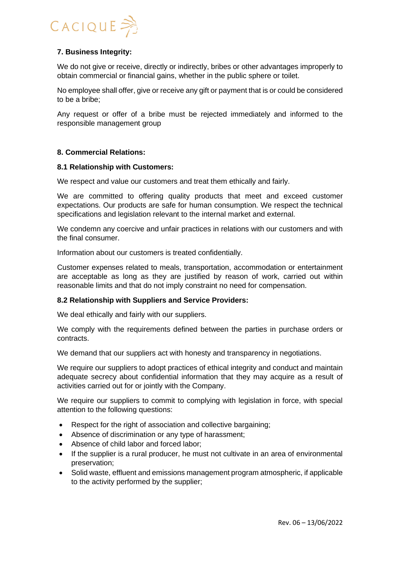

# **7. Business Integrity:**

We do not give or receive, directly or indirectly, bribes or other advantages improperly to obtain commercial or financial gains, whether in the public sphere or toilet.

No employee shall offer, give or receive any gift or payment that is or could be considered to be a bribe;

Any request or offer of a bribe must be rejected immediately and informed to the responsible management group

# **8. Commercial Relations:**

## **8.1 Relationship with Customers:**

We respect and value our customers and treat them ethically and fairly.

We are committed to offering quality products that meet and exceed customer expectations. Our products are safe for human consumption. We respect the technical specifications and legislation relevant to the internal market and external.

We condemn any coercive and unfair practices in relations with our customers and with the final consumer.

Information about our customers is treated confidentially.

Customer expenses related to meals, transportation, accommodation or entertainment are acceptable as long as they are justified by reason of work, carried out within reasonable limits and that do not imply constraint no need for compensation.

# **8.2 Relationship with Suppliers and Service Providers:**

We deal ethically and fairly with our suppliers.

We comply with the requirements defined between the parties in purchase orders or contracts.

We demand that our suppliers act with honesty and transparency in negotiations.

We require our suppliers to adopt practices of ethical integrity and conduct and maintain adequate secrecy about confidential information that they may acquire as a result of activities carried out for or jointly with the Company.

We require our suppliers to commit to complying with legislation in force, with special attention to the following questions:

- Respect for the right of association and collective bargaining;
- Absence of discrimination or any type of harassment;
- Absence of child labor and forced labor;
- If the supplier is a rural producer, he must not cultivate in an area of environmental preservation;
- Solid waste, effluent and emissions management program atmospheric, if applicable to the activity performed by the supplier;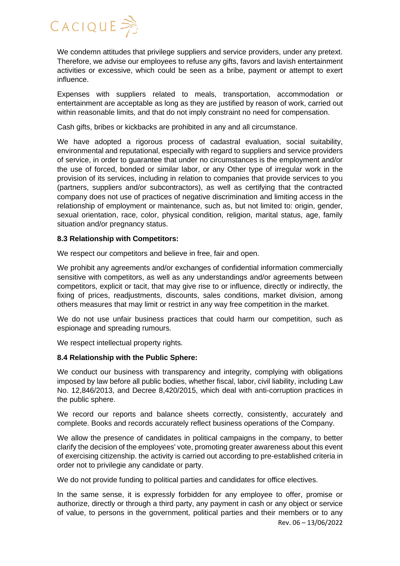# $CACIQUE$

We condemn attitudes that privilege suppliers and service providers, under any pretext. Therefore, we advise our employees to refuse any gifts, favors and lavish entertainment activities or excessive, which could be seen as a bribe, payment or attempt to exert influence.

Expenses with suppliers related to meals, transportation, accommodation or entertainment are acceptable as long as they are justified by reason of work, carried out within reasonable limits, and that do not imply constraint no need for compensation.

Cash gifts, bribes or kickbacks are prohibited in any and all circumstance.

We have adopted a rigorous process of cadastral evaluation, social suitability, environmental and reputational, especially with regard to suppliers and service providers of service, in order to guarantee that under no circumstances is the employment and/or the use of forced, bonded or similar labor, or any Other type of irregular work in the provision of its services, including in relation to companies that provide services to you (partners, suppliers and/or subcontractors), as well as certifying that the contracted company does not use of practices of negative discrimination and limiting access in the relationship of employment or maintenance, such as, but not limited to: origin, gender, sexual orientation, race, color, physical condition, religion, marital status, age, family situation and/or pregnancy status.

# **8.3 Relationship with Competitors:**

We respect our competitors and believe in free, fair and open.

We prohibit any agreements and/or exchanges of confidential information commercially sensitive with competitors, as well as any understandings and/or agreements between competitors, explicit or tacit, that may give rise to or influence, directly or indirectly, the fixing of prices, readjustments, discounts, sales conditions, market division, among others measures that may limit or restrict in any way free competition in the market.

We do not use unfair business practices that could harm our competition, such as espionage and spreading rumours.

We respect intellectual property rights.

# **8.4 Relationship with the Public Sphere:**

We conduct our business with transparency and integrity, complying with obligations imposed by law before all public bodies, whether fiscal, labor, civil liability, including Law No. 12,846/2013, and Decree 8,420/2015, which deal with anti-corruption practices in the public sphere.

We record our reports and balance sheets correctly, consistently, accurately and complete. Books and records accurately reflect business operations of the Company.

We allow the presence of candidates in political campaigns in the company, to better clarify the decision of the employees' vote, promoting greater awareness about this event of exercising citizenship. the activity is carried out according to pre-established criteria in order not to privilegie any candidate or party.

We do not provide funding to political parties and candidates for office electives.

In the same sense, it is expressly forbidden for any employee to offer, promise or authorize, directly or through a third party, any payment in cash or any object or service of value, to persons in the government, political parties and their members or to any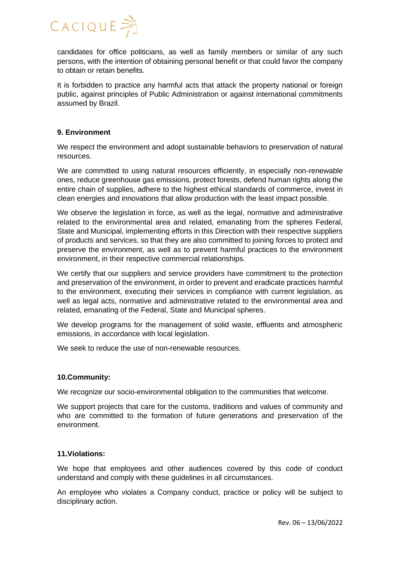

candidates for office politicians, as well as family members or similar of any such persons, with the intention of obtaining personal benefit or that could favor the company to obtain or retain benefits.

It is forbidden to practice any harmful acts that attack the property national or foreign public, against principles of Public Administration or against international commitments assumed by Brazil.

## **9. Environment**

We respect the environment and adopt sustainable behaviors to preservation of natural resources.

We are committed to using natural resources efficiently, in especially non-renewable ones, reduce greenhouse gas emissions, protect forests, defend human rights along the entire chain of supplies, adhere to the highest ethical standards of commerce, invest in clean energies and innovations that allow production with the least impact possible.

We observe the legislation in force, as well as the legal, normative and administrative related to the environmental area and related, emanating from the spheres Federal, State and Municipal, implementing efforts in this Direction with their respective suppliers of products and services, so that they are also committed to joining forces to protect and preserve the environment, as well as to prevent harmful practices to the environment environment, in their respective commercial relationships.

We certify that our suppliers and service providers have commitment to the protection and preservation of the environment, in order to prevent and eradicate practices harmful to the environment, executing their services in compliance with current legislation, as well as legal acts, normative and administrative related to the environmental area and related, emanating of the Federal, State and Municipal spheres.

We develop programs for the management of solid waste, effluents and atmospheric emissions, in accordance with local legislation.

We seek to reduce the use of non-renewable resources.

# **10.Community:**

We recognize our socio-environmental obligation to the communities that welcome.

We support projects that care for the customs, traditions and values of community and who are committed to the formation of future generations and preservation of the environment.

# **11.Violations:**

We hope that employees and other audiences covered by this code of conduct understand and comply with these guidelines in all circumstances.

An employee who violates a Company conduct, practice or policy will be subject to disciplinary action.